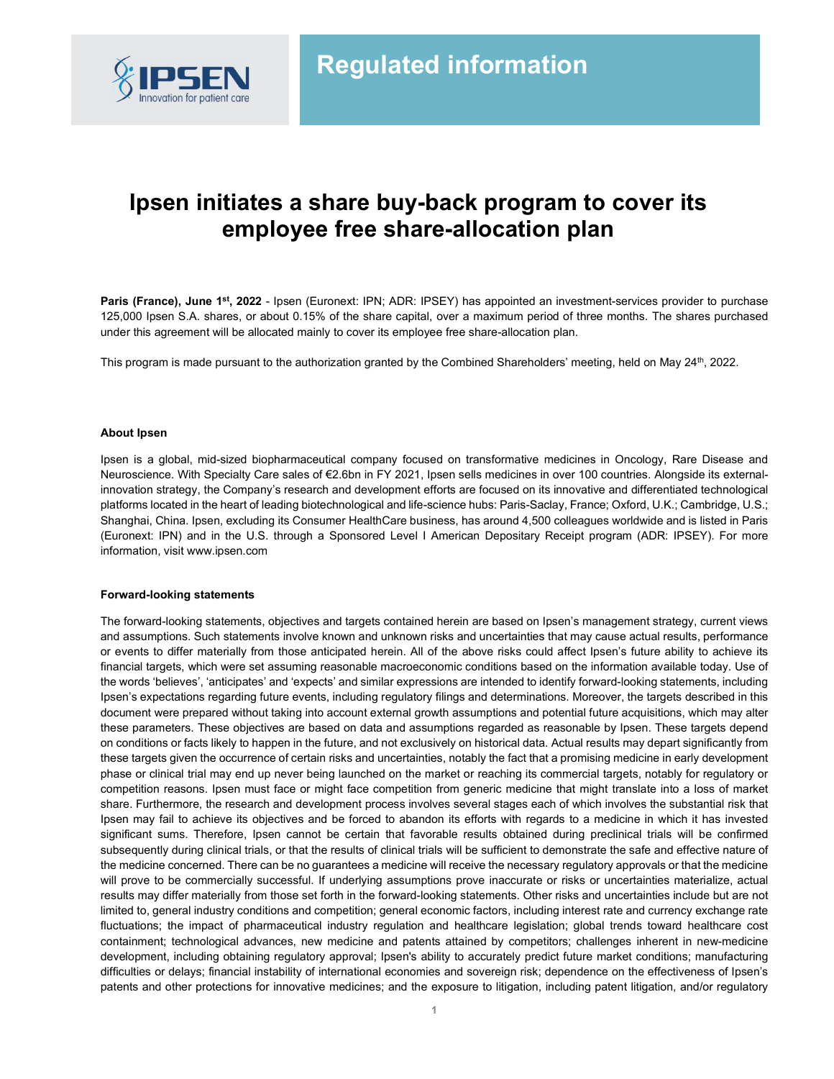

# Ipsen initiates a share buy-back program to cover its employee free share-allocation plan

Paris (France), June 1<sup>st</sup>, 2022 - Ipsen (Euronext: IPN; ADR: IPSEY) has appointed an investment-services provider to purchase 125,000 Ipsen S.A. shares, or about 0.15% of the share capital, over a maximum period of three months. The shares purchased under this agreement will be allocated mainly to cover its employee free share-allocation plan.

This program is made pursuant to the authorization granted by the Combined Shareholders' meeting, held on May 24<sup>th</sup>, 2022.

### About Ipsen

Ipsen is a global, mid-sized biopharmaceutical company focused on transformative medicines in Oncology, Rare Disease and Neuroscience. With Specialty Care sales of €2.6bn in FY 2021, Ipsen sells medicines in over 100 countries. Alongside its externalinnovation strategy, the Company's research and development efforts are focused on its innovative and differentiated technological platforms located in the heart of leading biotechnological and life-science hubs: Paris-Saclay, France; Oxford, U.K.; Cambridge, U.S.; Shanghai, China. Ipsen, excluding its Consumer HealthCare business, has around 4,500 colleagues worldwide and is listed in Paris (Euronext: IPN) and in the U.S. through a Sponsored Level I American Depositary Receipt program (ADR: IPSEY). For more information, visit www.ipsen.com

### Forward-looking statements

The forward-looking statements, objectives and targets contained herein are based on Ipsen's management strategy, current views and assumptions. Such statements involve known and unknown risks and uncertainties that may cause actual results, performance or events to differ materially from those anticipated herein. All of the above risks could affect Ipsen's future ability to achieve its financial targets, which were set assuming reasonable macroeconomic conditions based on the information available today. Use of the words 'believes', 'anticipates' and 'expects' and similar expressions are intended to identify forward-looking statements, including Ipsen's expectations regarding future events, including regulatory filings and determinations. Moreover, the targets described in this document were prepared without taking into account external growth assumptions and potential future acquisitions, which may alter these parameters. These objectives are based on data and assumptions regarded as reasonable by Ipsen. These targets depend on conditions or facts likely to happen in the future, and not exclusively on historical data. Actual results may depart significantly from these targets given the occurrence of certain risks and uncertainties, notably the fact that a promising medicine in early development phase or clinical trial may end up never being launched on the market or reaching its commercial targets, notably for regulatory or competition reasons. Ipsen must face or might face competition from generic medicine that might translate into a loss of market share. Furthermore, the research and development process involves several stages each of which involves the substantial risk that Ipsen may fail to achieve its objectives and be forced to abandon its efforts with regards to a medicine in which it has invested significant sums. Therefore, Ipsen cannot be certain that favorable results obtained during preclinical trials will be confirmed subsequently during clinical trials, or that the results of clinical trials will be sufficient to demonstrate the safe and effective nature of the medicine concerned. There can be no guarantees a medicine will receive the necessary regulatory approvals or that the medicine will prove to be commercially successful. If underlying assumptions prove inaccurate or risks or uncertainties materialize, actual results may differ materially from those set forth in the forward-looking statements. Other risks and uncertainties include but are not limited to, general industry conditions and competition; general economic factors, including interest rate and currency exchange rate fluctuations; the impact of pharmaceutical industry regulation and healthcare legislation; global trends toward healthcare cost containment; technological advances, new medicine and patents attained by competitors; challenges inherent in new-medicine development, including obtaining regulatory approval; Ipsen's ability to accurately predict future market conditions; manufacturing difficulties or delays; financial instability of international economies and sovereign risk; dependence on the effectiveness of Ipsen's patents and other protections for innovative medicines; and the exposure to litigation, including patent litigation, and/or regulatory